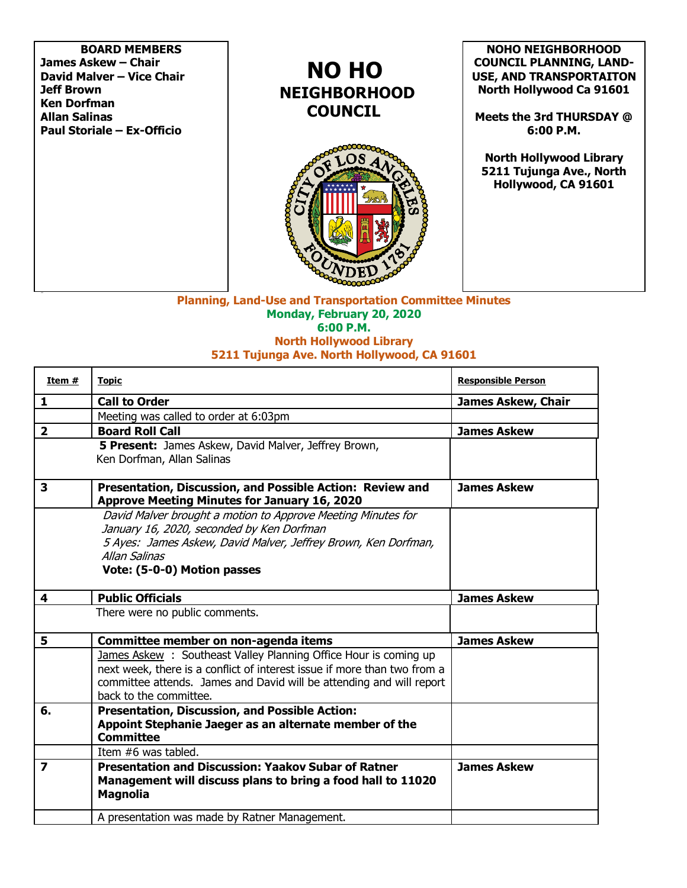**BOARD MEMBERS James Askew – Chair David Malver – Vice Chair Jeff Brown Ken Dorfman Allan Salinas Paul Storiale – Ex-Officio**

## **NO HO NEIGHBORHOOD COUNCIL**



**NOHO NEIGHBORHOOD COUNCIL PLANNING, LAND-USE, AND TRANSPORTAITON North Hollywood Ca 91601**

**Meets the 3rd THURSDAY @ 6:00 P.M.**

**North Hollywood Library 5211 Tujunga Ave., North Hollywood, CA 91601**

**Planning, Land-Use and Transportation Committee Minutes Monday, February 20, 2020 6:00 P.M. North Hollywood Library**

## **5211 Tujunga Ave. North Hollywood, CA 91601**

| Item #                  | <b>Topic</b>                                                                                                                                                                                                                                  | <b>Responsible Person</b> |
|-------------------------|-----------------------------------------------------------------------------------------------------------------------------------------------------------------------------------------------------------------------------------------------|---------------------------|
| 1                       | <b>Call to Order</b>                                                                                                                                                                                                                          | <b>James Askew, Chair</b> |
|                         | Meeting was called to order at 6:03pm                                                                                                                                                                                                         |                           |
| $\overline{\mathbf{2}}$ | <b>Board Roll Call</b>                                                                                                                                                                                                                        | <b>James Askew</b>        |
|                         | 5 Present: James Askew, David Malver, Jeffrey Brown,<br>Ken Dorfman, Allan Salinas                                                                                                                                                            |                           |
| 3                       | Presentation, Discussion, and Possible Action: Review and<br><b>Approve Meeting Minutes for January 16, 2020</b>                                                                                                                              | <b>James Askew</b>        |
|                         | David Malver brought a motion to Approve Meeting Minutes for<br>January 16, 2020, seconded by Ken Dorfman<br>5 Ayes: James Askew, David Malver, Jeffrey Brown, Ken Dorfman,<br><b>Allan Salinas</b><br>Vote: (5-0-0) Motion passes            |                           |
| 4                       | <b>Public Officials</b>                                                                                                                                                                                                                       | <b>James Askew</b>        |
|                         | There were no public comments.                                                                                                                                                                                                                |                           |
| 5                       | Committee member on non-agenda items                                                                                                                                                                                                          | <b>James Askew</b>        |
|                         | James Askew: Southeast Valley Planning Office Hour is coming up<br>next week, there is a conflict of interest issue if more than two from a<br>committee attends. James and David will be attending and will report<br>back to the committee. |                           |
| 6.                      | Presentation, Discussion, and Possible Action:<br>Appoint Stephanie Jaeger as an alternate member of the<br><b>Committee</b>                                                                                                                  |                           |
|                         | Item #6 was tabled.                                                                                                                                                                                                                           |                           |
| $\overline{\mathbf{z}}$ | <b>Presentation and Discussion: Yaakov Subar of Ratner</b><br>Management will discuss plans to bring a food hall to 11020<br><b>Magnolia</b>                                                                                                  | <b>James Askew</b>        |
|                         | A presentation was made by Ratner Management.                                                                                                                                                                                                 |                           |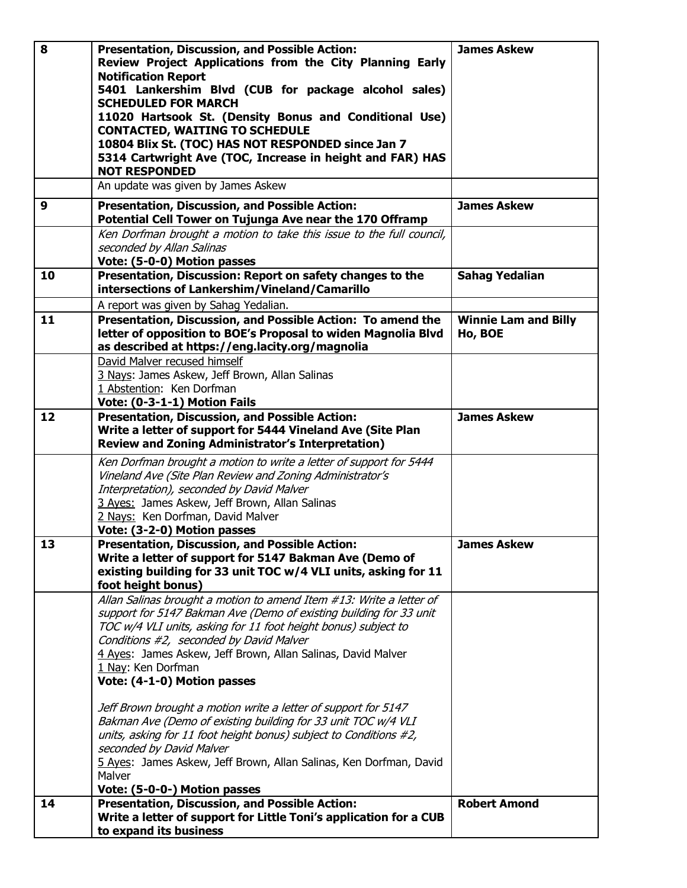| 8  | <b>Presentation, Discussion, and Possible Action:</b><br>Review Project Applications from the City Planning Early<br><b>Notification Report</b><br>5401 Lankershim Blvd (CUB for package alcohol sales)<br><b>SCHEDULED FOR MARCH</b><br>11020 Hartsook St. (Density Bonus and Conditional Use)<br><b>CONTACTED, WAITING TO SCHEDULE</b><br>10804 Blix St. (TOC) HAS NOT RESPONDED since Jan 7<br>5314 Cartwright Ave (TOC, Increase in height and FAR) HAS<br><b>NOT RESPONDED</b><br>An update was given by James Askew | <b>James Askew</b>                     |
|----|---------------------------------------------------------------------------------------------------------------------------------------------------------------------------------------------------------------------------------------------------------------------------------------------------------------------------------------------------------------------------------------------------------------------------------------------------------------------------------------------------------------------------|----------------------------------------|
| 9  | <b>Presentation, Discussion, and Possible Action:</b>                                                                                                                                                                                                                                                                                                                                                                                                                                                                     | <b>James Askew</b>                     |
|    | Potential Cell Tower on Tujunga Ave near the 170 Offramp                                                                                                                                                                                                                                                                                                                                                                                                                                                                  |                                        |
|    | Ken Dorfman brought a motion to take this issue to the full council,<br>seconded by Allan Salinas                                                                                                                                                                                                                                                                                                                                                                                                                         |                                        |
|    | Vote: (5-0-0) Motion passes                                                                                                                                                                                                                                                                                                                                                                                                                                                                                               |                                        |
| 10 | Presentation, Discussion: Report on safety changes to the<br>intersections of Lankershim/Vineland/Camarillo                                                                                                                                                                                                                                                                                                                                                                                                               | <b>Sahag Yedalian</b>                  |
|    | A report was given by Sahag Yedalian.                                                                                                                                                                                                                                                                                                                                                                                                                                                                                     |                                        |
| 11 | Presentation, Discussion, and Possible Action: To amend the<br>letter of opposition to BOE's Proposal to widen Magnolia Blvd<br>as described at https://eng.lacity.org/magnolia                                                                                                                                                                                                                                                                                                                                           | <b>Winnie Lam and Billy</b><br>Ho, BOE |
|    | David Malver recused himself                                                                                                                                                                                                                                                                                                                                                                                                                                                                                              |                                        |
|    | 3 Nays: James Askew, Jeff Brown, Allan Salinas<br>1 Abstention: Ken Dorfman                                                                                                                                                                                                                                                                                                                                                                                                                                               |                                        |
|    | Vote: (0-3-1-1) Motion Fails                                                                                                                                                                                                                                                                                                                                                                                                                                                                                              |                                        |
| 12 | Presentation, Discussion, and Possible Action:<br>Write a letter of support for 5444 Vineland Ave (Site Plan<br><b>Review and Zoning Administrator's Interpretation)</b>                                                                                                                                                                                                                                                                                                                                                  | <b>James Askew</b>                     |
|    | Ken Dorfman brought a motion to write a letter of support for 5444<br>Vineland Ave (Site Plan Review and Zoning Administrator's<br>Interpretation), seconded by David Malver<br>3 Ayes: James Askew, Jeff Brown, Allan Salinas<br>2 Nays: Ken Dorfman, David Malver<br>Vote: (3-2-0) Motion passes                                                                                                                                                                                                                        |                                        |
| 13 | Presentation, Discussion, and Possible Action:                                                                                                                                                                                                                                                                                                                                                                                                                                                                            | <b>James Askew</b>                     |
|    | Write a letter of support for 5147 Bakman Ave (Demo of<br>existing building for 33 unit TOC w/4 VLI units, asking for 11<br>foot height bonus)                                                                                                                                                                                                                                                                                                                                                                            |                                        |
|    | Allan Salinas brought a motion to amend Item #13: Write a letter of<br>support for 5147 Bakman Ave (Demo of existing building for 33 unit<br>TOC w/4 VLI units, asking for 11 foot height bonus) subject to<br>Conditions #2, seconded by David Malver<br>4 Ayes: James Askew, Jeff Brown, Allan Salinas, David Malver<br>1 Nay: Ken Dorfman<br>Vote: (4-1-0) Motion passes                                                                                                                                               |                                        |
|    | Jeff Brown brought a motion write a letter of support for 5147<br>Bakman Ave (Demo of existing building for 33 unit TOC w/4 VLI<br>units, asking for 11 foot height bonus) subject to Conditions #2,<br>seconded by David Malver<br>5 Ayes: James Askew, Jeff Brown, Allan Salinas, Ken Dorfman, David<br>Malver<br>Vote: (5-0-0-) Motion passes                                                                                                                                                                          |                                        |
| 14 | <b>Presentation, Discussion, and Possible Action:</b>                                                                                                                                                                                                                                                                                                                                                                                                                                                                     | <b>Robert Amond</b>                    |
|    | Write a letter of support for Little Toni's application for a CUB<br>to expand its business                                                                                                                                                                                                                                                                                                                                                                                                                               |                                        |